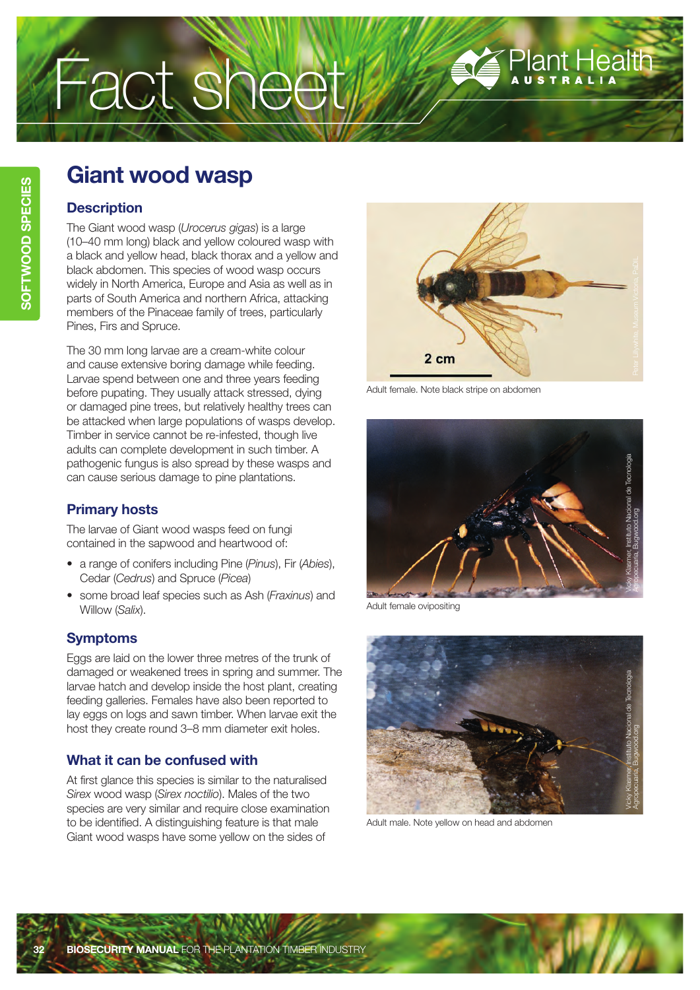# Fact sheet

# **Giant wood wasp**

### **Description**

The Giant wood wasp (*Urocerus gigas*) is a large (10–40 mm long) black and yellow coloured wasp with a black and yellow head, black thorax and a yellow and black abdomen. This species of wood wasp occurs widely in North America, Europe and Asia as well as in parts of South America and northern Africa, attacking members of the Pinaceae family of trees, particularly Pines, Firs and Spruce.

The 30 mm long larvae are a cream-white colour and cause extensive boring damage while feeding. Larvae spend between one and three years feeding before pupating. They usually attack stressed, dying or damaged pine trees, but relatively healthy trees can be attacked when large populations of wasps develop. Timber in service cannot be re-infested, though live adults can complete development in such timber. A pathogenic fungus is also spread by these wasps and can cause serious damage to pine plantations.

# **Primary hosts**

The larvae of Giant wood wasps feed on fungi contained in the sapwood and heartwood of:

- a range of conifers including Pine (*Pinus*), Fir (*Abies*), Cedar (*Cedrus*) and Spruce (*Picea*)
- some broad leaf species such as Ash (*Fraxinus*) and Willow (*Salix*).

## **Symptoms**

Eggs are laid on the lower three metres of the trunk of damaged or weakened trees in spring and summer. The larvae hatch and develop inside the host plant, creating feeding galleries. Females have also been reported to lay eggs on logs and sawn timber. When larvae exit the host they create round 3–8 mm diameter exit holes.

# **What it can be confused with**

At first glance this species is similar to the naturalised *Sirex* wood wasp (*Sirex noctilio*). Males of the two species are very similar and require close examination to be identified. A distinguishing feature is that male Giant wood wasps have some yellow on the sides of



Plant Health

Adult female. Note black stripe on abdomen



Adult female ovipositing



Adult male. Note yellow on head and abdomen